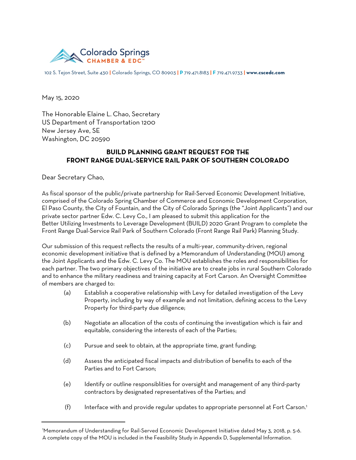

102 S. Tejon Street, Suite 430 **|** Colorado Springs, CO 80903 **| P** 719.471.8183 **| F** 719.471.9733 **| www.cscedc.com**

May 15, 2020

The Honorable Elaine L. Chao, Secretary US Department of Transportation 1200 New Jersey Ave, SE Washington, DC 20590

## **BUILD PLANNING GRANT REQUEST FOR THE FRONT RANGE DUAL-SERVICE RAIL PARK OF SOUTHERN COLORADO**

Dear Secretary Chao,

As fiscal sponsor of the public/private partnership for Rail-Served Economic Development Initiative, comprised of the Colorado Spring Chamber of Commerce and Economic Development Corporation, El Paso County, the City of Fountain, and the City of Colorado Springs (the "Joint Applicants") and our private sector partner Edw. C. Levy Co., I am pleased to submit this application for the Better Utilizing Investments to Leverage Development (BUILD) 2020 Grant Program to complete the Front Range Dual-Service Rail Park of Southern Colorado (Front Range Rail Park) Planning Study.

Our submission of this request reflects the results of a multi-year, community-driven, regional economic development initiative that is defined by a Memorandum of Understanding (MOU) among the Joint Applicants and the Edw. C. Levy Co. The MOU establishes the roles and responsibilities for each partner. The two primary objectives of the initiative are to create jobs in rural Southern Colorado and to enhance the military readiness and training capacity at Fort Carson. An Oversight Committee of members are charged to:

- (a) Establish a cooperative relationship with Levy for detailed investigation of the Levy Property, including by way of example and not limitation, defining access to the Levy Property for third-party due diligence;
- (b) Negotiate an allocation of the costs of continuing the investigation which is fair and equitable, considering the interests of each of the Parties;
- (c) Pursue and seek to obtain, at the appropriate time, grant funding;
- (d) Assess the anticipated fiscal impacts and distribution of benefits to each of the Parties and to Fort Carson;
- (e) Identify or outline responsiblities for oversight and management of any third-party contractors by designated representatives of the Parties; and
- (f) Interface with and provide regular updates to appropriate personnel at Fort Carson.<sup>1</sup>

<sup>1</sup>Memorandum of Understanding for Rail-Served Economic Development Initiative dated May 3, 2018, p. 5-6. A complete copy of the MOU is included in the Feasibility Study in Appendix D, Supplemental Information.